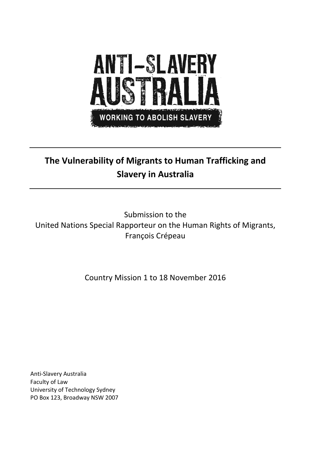

# **The Vulnerability of Migrants to Human Trafficking and Slavery in Australia**

Submission to the United Nations Special Rapporteur on the Human Rights of Migrants, François Crépeau

Country Mission 1 to 18 November 2016

Anti-Slavery Australia Faculty of Law University of Technology Sydney PO Box 123, Broadway NSW 2007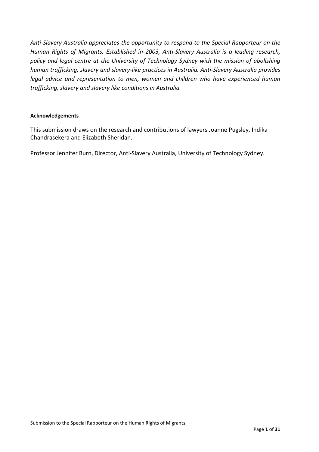*Anti-Slavery Australia appreciates the opportunity to respond to the Special Rapporteur on the Human Rights of Migrants. Established in 2003, Anti-Slavery Australia is a leading research, policy and legal centre at the University of Technology Sydney with the mission of abolishing human trafficking, slavery and slavery-like practices in Australia. Anti-Slavery Australia provides legal advice and representation to men, women and children who have experienced human trafficking, slavery and slavery like conditions in Australia.* 

#### **Acknowledgements**

This submission draws on the research and contributions of lawyers Joanne Pugsley, Indika Chandrasekera and Elizabeth Sheridan.

Professor Jennifer Burn, Director, Anti-Slavery Australia, University of Technology Sydney.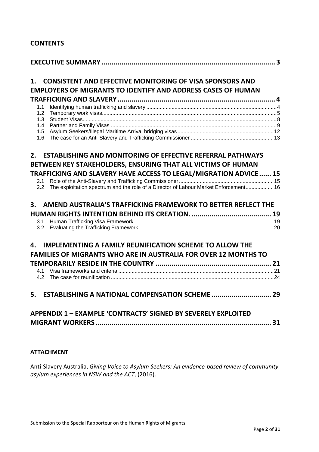# **CONTENTS**

| <b>CONSISTENT AND EFFECTIVE MONITORING OF VISA SPONSORS AND</b><br>1.                       |  |
|---------------------------------------------------------------------------------------------|--|
| <b>EMPLOYERS OF MIGRANTS TO IDENTIFY AND ADDRESS CASES OF HUMAN</b>                         |  |
|                                                                                             |  |
| 1.1                                                                                         |  |
| 1.2<br>1.3                                                                                  |  |
| 1.4                                                                                         |  |
| 1.5                                                                                         |  |
| 1.6                                                                                         |  |
| <b>ESTABLISHING AND MONITORING OF EFFECTIVE REFERRAL PATHWAYS</b><br>2.                     |  |
| BETWEEN KEY STAKEHOLDERS, ENSURING THAT ALL VICTIMS OF HUMAN                                |  |
|                                                                                             |  |
| <b>TRAFFICKING AND SLAVERY HAVE ACCESS TO LEGAL/MIGRATION ADVICE 15</b><br>2.1              |  |
| The exploitation spectrum and the role of a Director of Labour Market Enforcement 16<br>2.2 |  |
|                                                                                             |  |
| AMEND AUSTRALIA'S TRAFFICKING FRAMEWORK TO BETTER REFLECT THE<br>3.                         |  |
|                                                                                             |  |
| 3.1                                                                                         |  |
| 3.2                                                                                         |  |
| <b>IMPLEMENTING A FAMILY REUNIFICATION SCHEME TO ALLOW THE</b><br>Δ.                        |  |
| <b>FAMILIES OF MIGRANTS WHO ARE IN AUSTRALIA FOR OVER 12 MONTHS TO</b>                      |  |
|                                                                                             |  |
| 41                                                                                          |  |
| 4.2                                                                                         |  |
|                                                                                             |  |
| 5.                                                                                          |  |
|                                                                                             |  |
| <b>APPENDIX 1 - EXAMPLE 'CONTRACTS' SIGNED BY SEVERELY EXPLOITED</b>                        |  |
|                                                                                             |  |
|                                                                                             |  |

# **ATTACHMENT**

Anti-Slavery Australia, *Giving Voice to Asylum Seekers: An evidence-based review of community asylum experiences in NSW and the ACT*, (2016).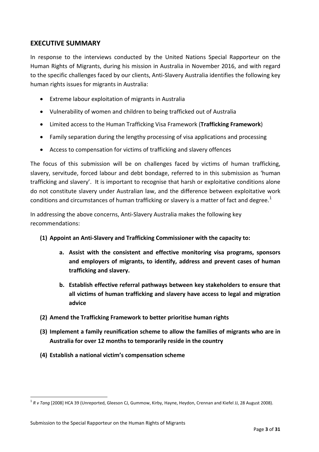# <span id="page-3-0"></span>**EXECUTIVE SUMMARY**

In response to the interviews conducted by the United Nations Special Rapporteur on the Human Rights of Migrants, during his mission in Australia in November 2016, and with regard to the specific challenges faced by our clients, Anti-Slavery Australia identifies the following key human rights issues for migrants in Australia:

- Extreme labour exploitation of migrants in Australia
- Vulnerability of women and children to being trafficked out of Australia
- Limited access to the Human Trafficking Visa Framework (**Trafficking Framework**)
- Family separation during the lengthy processing of visa applications and processing
- Access to compensation for victims of trafficking and slavery offences

The focus of this submission will be on challenges faced by victims of human trafficking, slavery, servitude, forced labour and debt bondage, referred to in this submission as 'human trafficking and slavery'. It is important to recognise that harsh or exploitative conditions alone do not constitute slavery under Australian law, and the difference between exploitative work conditions and circumstances of human trafficking or slavery is a matter of fact and degree.<sup>[1](#page-3-1)</sup>

In addressing the above concerns, Anti-Slavery Australia makes the following key recommendations:

- **(1) Appoint an Anti-Slavery and Trafficking Commissioner with the capacity to:**
	- **a. Assist with the consistent and effective monitoring visa programs, sponsors and employers of migrants, to identify, address and prevent cases of human trafficking and slavery.**
	- **b. Establish effective referral pathways between key stakeholders to ensure that all victims of human trafficking and slavery have access to legal and migration advice**
- **(2) Amend the Trafficking Framework to better prioritise human rights**
- **(3) Implement a family reunification scheme to allow the families of migrants who are in Australia for over 12 months to temporarily reside in the country**
- **(4) Establish a national victim's compensation scheme**

 $\overline{a}$ 

<span id="page-3-1"></span><sup>1</sup> *R v Tang* [2008] HCA 39 (Unreported, Gleeson CJ, Gummow, Kirby, Hayne, Heydon, Crennan and Kiefel JJ, 28 August 2008).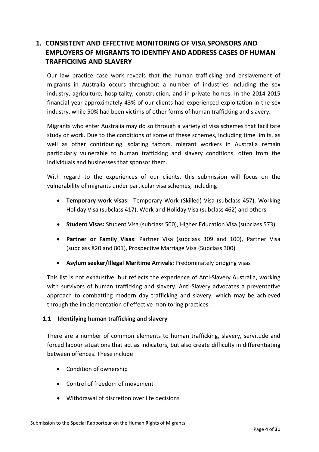# <span id="page-4-0"></span>**1. CONSISTENT AND EFFECTIVE MONITORING OF VISA SPONSORS AND EMPLOYERS OF MIGRANTS TO IDENTIFY AND ADDRESS CASES OF HUMAN TRAFFICKING AND SLAVERY**

Our law practice case work reveals that the human trafficking and enslavement of migrants in Australia occurs throughout a number of industries including the sex industry, agriculture, hospitality, construction, and in private homes. In the 2014-2015 financial year approximately 43% of our clients had experienced exploitation in the sex industry, while 50% had been victims of other forms of human trafficking and slavery.

Migrants who enter Australia may do so through a variety of visa schemes that facilitate study or work. Due to the conditions of some of these schemes, including time limits, as well as other contributing isolating factors, migrant workers in Australia remain particularly vulnerable to human trafficking and slavery conditions, often from the individuals and businesses that sponsor them.

With regard to the experiences of our clients, this submission will focus on the vulnerability of migrants under particular visa schemes, including:

- **Temporary work visas:** Temporary Work (Skilled) Visa (subclass 457), Working Holiday Visa (subclass 417), Work and Holiday Visa (subclass 462) and others
- **Student Visas:** Student Visa (subclass 500), Higher Education Visa (subclass 573)
- **Partner or Family Visas**: Partner Visa (subclass 309 and 100), Partner Visa (subclass 820 and 801), Prospective Marriage Visa (Subclass 300)
- **Asylum seeker/Illegal Maritime Arrivals:** Predominately bridging visas

This list is not exhaustive, but reflects the experience of Anti-Slavery Australia, working with survivors of human trafficking and slavery. Anti-Slavery advocates a preventative approach to combatting modern day trafficking and slavery, which may be achieved through the implementation of effective monitoring practices.

# <span id="page-4-1"></span>**1.1 Identifying human trafficking and slavery**

There are a number of common elements to human trafficking, slavery, servitude and forced labour situations that act as indicators, but also create difficulty in differentiating between offences. These include:

- Condition of ownership
- Control of freedom of movement
- Withdrawal of discretion over life decisions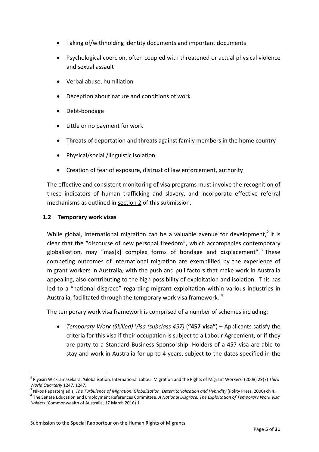- Taking of/withholding identity documents and important documents
- Psychological coercion, often coupled with threatened or actual physical violence and sexual assault
- Verbal abuse, humiliation
- Deception about nature and conditions of work
- Debt-bondage
- Little or no payment for work
- Threats of deportation and threats against family members in the home country
- Physical/social /linguistic isolation
- Creation of fear of exposure, distrust of law enforcement, authority

The effective and consistent monitoring of visa programs must involve the recognition of these indicators of human trafficking and slavery, and incorporate effective referral mechanisms as outlined in [section](#page-15-0) 2 of this submission.

### <span id="page-5-0"></span>**1.2 Temporary work visas**

While global, international migration can be a valuable avenue for development,<sup>[2](#page-5-1)</sup> it is clear that the "discourse of new personal freedom", which accompanies contemporary globalisation, may "mas[k] complex forms of bondage and displacement".<sup>[3](#page-5-2)</sup> These competing outcomes of international migration are exemplified by the experience of migrant workers in Australia, with the push and pull factors that make work in Australia appealing, also contributing to the high possibility of exploitation and isolation. This has led to a "national disgrace" regarding migrant exploitation within various industries in Australia, facilitated through the temporary work visa framework. <sup>[4](#page-5-3)</sup>

The temporary work visa framework is comprised of a number of schemes including:

• *Temporary Work (Skilled) Visa (subclass 457)* (**"457 visa"**) – Applicants satisfy the criteria for this visa if their occupation is subject to a Labour Agreement, or if they are party to a Standard Business Sponsorship. Holders of a 457 visa are able to stay and work in Australia for up to 4 years, subject to the dates specified in the

<sup>2</sup> Piyasiri Wickramasekara, 'Globalisation, International Labour Migration and the Rights of Migrant Workers' (2008) 29(7) *Third*  $\overline{a}$ 

<span id="page-5-3"></span>

<span id="page-5-2"></span><span id="page-5-1"></span>World Quarterly 1247, 1247.<br><sup>3</sup> Nikos Papastergiadis, The Turbulence of Migration: Globalization, Deterritorialization and Hybridity (Polity Press, 2000) ch 4.<br><sup>4</sup> The Senate Education and Employment References Committee, *Holders* (Commonwealth of Australia, 17 March 2016) 1.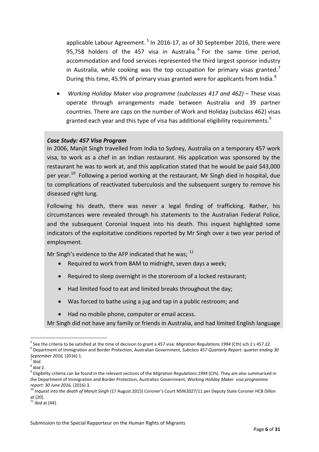applicable Labour Agreement.<sup>[5](#page-6-0)</sup> In 2016-17, as of 30 September 2016, there were 95,758 holders of the 457 visa in Australia.  $6$  For the same time period, accommodation and food services represented the third largest sponsor industry in Australia, while cooking was the top occupation for primary visas granted.<sup>[7](#page-6-2)</sup> During this time, 45.9% of primary visas granted were for applicants from India.<sup>[8](#page-6-3)</sup>

• *Working Holiday Maker visa programme (subclasses 417 and 462)* – These visas operate through arrangements made between Australia and 39 partner countries. There are caps on the number of Work and Holiday (subclass 462) visas granted each year and this type of visa has additional eligibility requirements.<sup>[9](#page-6-4)</sup>

### *Case Study: 457 Visa Program*

In 2006, Manjit Singh travelled from India to Sydney, Australia on a temporary 457 work visa, to work as a chef in an Indian restaurant. His application was sponsored by the restaurant he was to work at, and this application stated that he would be paid \$43,000 per year.<sup>[10](#page-6-5)</sup> Following a period working at the restaurant, Mr Singh died in hospital, due to complications of reactivated tuberculosis and the subsequent surgery to remove his diseased right lung.

Following his death, there was never a legal finding of trafficking. Rather, his circumstances were revealed through his statements to the Australian Federal Police, and the subsequent Coronial Inquest into his death. This inquest highlighted some indicators of the exploitative conditions reported by Mr Singh over a two year period of employment.

Mr Singh's evidence to the AFP indicated that he was;  $^{11}$  $^{11}$  $^{11}$ 

- Required to work from 8AM to midnight, seven days a week;
- Required to sleep overnight in the storeroom of a locked restaurant;
- Had limited food to eat and limited breaks throughout the day;
- Was forced to bathe using a jug and tap in a public restroom; and
- Had no mobile phone, computer or email access.

Mr Singh did not have any family or friends in Australia, and had limited English language

 $\overline{a}$ 

<span id="page-6-0"></span><sup>&</sup>lt;sup>5</sup> See the criteria to be satisfied at the time of decision to grant a 457 visa: *Migration Regulations 1994* (Cth) sch 2 s 457.22.<br><sup>6</sup> Department of Immigration and Border Protection, Australian Government, Subclass 457

<span id="page-6-4"></span><span id="page-6-3"></span>

<span id="page-6-2"></span><span id="page-6-1"></span>*September 2016,* (2016) 1.<br><sup>8</sup> *Ibid* 2.<br><sup>9</sup> Eligibility criteria can be found in the relevant sections of the *Migration Regulations* 1994 (Cth). They are also summarised in the Department of Immigration and Border Protection, Australian Government, *Working Holiday Maker visa programme* report: 30 June 2016, (2016) 3.<br><sup>10</sup> Inquest into the death of Manjit Singh (17 August 2015) Coroner's Court NSW2027/11 per Deputy State Coroner HCB Dillon

<span id="page-6-5"></span>at [20]. <sup>11</sup> *Ibid* at [44].

<span id="page-6-6"></span>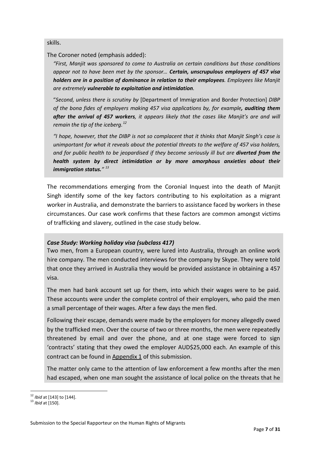skills.

The Coroner noted (emphasis added):

*"First, Manjit was sponsored to come to Australia on certain conditions but those conditions appear not to have been met by the sponsor… Certain, unscrupulous employers of 457 visa holders are in a position of dominance in relation to their employees. Employees like Manjit are extremely vulnerable to exploitation and intimidation.*

"*Second, unless there is scrutiny by* [Department of Immigration and Border Protection] *DIBP of the bona fides of employers making 457 visa applications by, for example, auditing them after the arrival of 457 workers, it appears likely that the cases like Manjit's are and will remain the tip of the iceberg.[12](#page-7-0)*

*"I hope, however, that the DIBP is not so complacent that it thinks that Manjit Singh's case is unimportant for what it reveals about the potential threats to the welfare of 457 visa holders, and for public health to be jeopardised if they become seriously ill but are diverted from the health system by direct intimidation or by more amorphous anxieties about their immigration status." [13](#page-7-1)*

The recommendations emerging from the Coronial Inquest into the death of Manjit Singh identify some of the key factors contributing to his exploitation as a migrant worker in Australia, and demonstrate the barriers to assistance faced by workers in these circumstances. Our case work confirms that these factors are common amongst victims of trafficking and slavery, outlined in the case study below.

# *Case Study: Working holiday visa (subclass 417)*

Two men, from a European country, were lured into Australia, through an online work hire company. The men conducted interviews for the company by Skype. They were told that once they arrived in Australia they would be provided assistance in obtaining a 457 visa.

The men had bank account set up for them, into which their wages were to be paid. These accounts were under the complete control of their employers, who paid the men a small percentage of their wages. After a few days the men fled.

Following their escape, demands were made by the employers for money allegedly owed by the trafficked men. Over the course of two or three months, the men were repeatedly threatened by email and over the phone, and at one stage were forced to sign 'contracts' stating that they owed the employer AUD\$25,000 each. An example of this contract can be found in [Appendix](#page-31-0) 1 of this submission.

The matter only came to the attention of law enforcement a few months after the men had escaped, when one man sought the assistance of local police on the threats that he

<span id="page-7-0"></span><sup>&</sup>lt;sup>12</sup> *Ibid* at [143] to [144].<br><sup>13</sup> *Ibid* at [150].  $\overline{a}$ 

<span id="page-7-1"></span>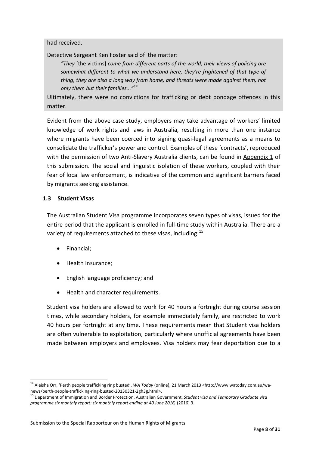had received.

Detective Sergeant Ken Foster said of the matter:

*"They* [the victims] *come from different parts of the world, their views of policing are somewhat different to what we understand here, they're frightened of that type of thing, they are also a long way from home, and threats were made against them, not only them but their families..."[14](#page-8-1)*

Ultimately, there were no convictions for trafficking or debt bondage offences in this matter.

Evident from the above case study, employers may take advantage of workers' limited knowledge of work rights and laws in Australia, resulting in more than one instance where migrants have been coerced into signing quasi-legal agreements as a means to consolidate the trafficker's power and control. Examples of these 'contracts', reproduced with the permission of two Anti-Slavery Australia clients, can be found in Appendix 1 of this submission. The social and linguistic isolation of these workers, coupled with their fear of local law enforcement, is indicative of the common and significant barriers faced by migrants seeking assistance.

### <span id="page-8-0"></span>**1.3 Student Visas**

The Australian Student Visa programme incorporates seven types of visas, issued for the entire period that the applicant is enrolled in full-time study within Australia. There are a variety of requirements attached to these visas, including:<sup>[15](#page-8-2)</sup>

- Financial;
- Health insurance;
- English language proficiency; and
- Health and character requirements.

Student visa holders are allowed to work for 40 hours a fortnight during course session times, while secondary holders, for example immediately family, are restricted to work 40 hours per fortnight at any time. These requirements mean that Student visa holders are often vulnerable to exploitation, particularly where unofficial agreements have been made between employers and employees. Visa holders may fear deportation due to a

<sup>14</sup> Aleisha Orr, 'Perth people trafficking ring busted', *WA Today* (online), 21 March 2013 <http://www.watoday.com.au/wa- $\overline{a}$ 

<span id="page-8-2"></span><span id="page-8-1"></span>news/perth-people-trafficking-ring-busted-20130321-2gh3g.html>.<br><sup>15</sup> Department of Immigration and Border Protection, Australian Government, *Student visa and Temporary Graduate visa programme six monthly report: six monthly report ending at 40 June 2016,* (2016) 3.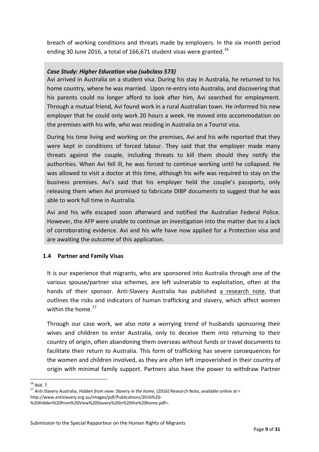breach of working conditions and threats made by employers. In the six month period ending 30 June 20[16](#page-9-1), a total of 166,671 student visas were granted.<sup>16</sup>

# *Case Study: Higher Education visa (subclass 573)*

Avi arrived in Australia on a student visa. During his stay in Australia, he returned to his home country, where he was married. Upon re-entry into Australia, and discovering that his parents could no longer afford to look after him, Avi searched for employment. Through a mutual friend, Avi found work in a rural Australian town. He informed his new employer that he could only work 20 hours a week. He moved into accommodation on the premises with his wife, who was residing in Australia on a Tourist visa.

During his time living and working on the premises, Avi and his wife reported that they were kept in conditions of forced labour. They said that the employer made many threats against the couple, including threats to kill them should they notify the authorities. When Avi fell ill, he was forced to continue working until he collapsed. He was allowed to visit a doctor at this time, although his wife was required to stay on the business premises. Avi's said that his employer held the couple's passports, only releasing them when Avi promised to fabricate DIBP documents to suggest that he was able to work full time in Australia.

Avi and his wife escaped soon afterward and notified the Australian Federal Police. However, the AFP were unable to continue an investigation into the matter due to a lack of corroborating evidence. Avi and his wife have now applied for a Protection visa and are awaiting the outcome of this application.

# <span id="page-9-0"></span>**1.4 Partner and Family Visas**

It is our experience that migrants, who are sponsored into Australia through one of the various spouse/partner visa schemes, are left vulnerable to exploitation, often at the hands of their sponsor. Anti-Slavery Australia has published a [research](http://www.antislavery.org.au/images/pdf/Publications/2016%20-%20Hidden%20from%20View%20Slavery%20in%20the%20home.pdf) note, that outlines the risks and indicators of human trafficking and slavery, which affect women within the home. [17](#page-9-2)

Through our case work, we also note a worrying trend of husbands sponsoring their wives and children to enter Australia, only to deceive them into returning to their country of origin, often abandoning them overseas without funds or travel documents to facilitate their return to Australia. This form of trafficking has severe consequences for the women and children involved, as they are often left impoverished in their country of origin with minimal family support. Partners also have the power to withdraw Partner

<span id="page-9-1"></span> $16$  Ibid. 7.

<span id="page-9-2"></span><sup>16</sup> Ibid. 7. <sup>17</sup> Anti-Slavery Australia, *Hidden from view: Slavery in the home*, (2016) Research Note, available online at <sup>&</sup>lt; http://www.antislavery.org.au/images/pdf/Publications/2016%20-

<sup>%20</sup>Hidden%20from%20View%20Slavery%20in%20the%20home.pdf>.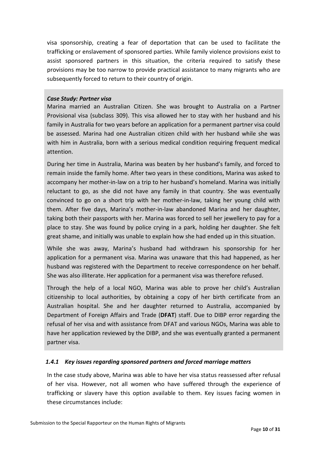visa sponsorship, creating a fear of deportation that can be used to facilitate the trafficking or enslavement of sponsored parties. While family violence provisions exist to assist sponsored partners in this situation, the criteria required to satisfy these provisions may be too narrow to provide practical assistance to many migrants who are subsequently forced to return to their country of origin.

### *Case Study: Partner visa*

Marina married an Australian Citizen. She was brought to Australia on a Partner Provisional visa (subclass 309). This visa allowed her to stay with her husband and his family in Australia for two years before an application for a permanent partner visa could be assessed. Marina had one Australian citizen child with her husband while she was with him in Australia, born with a serious medical condition requiring frequent medical attention.

During her time in Australia, Marina was beaten by her husband's family, and forced to remain inside the family home. After two years in these conditions, Marina was asked to accompany her mother-in-law on a trip to her husband's homeland. Marina was initially reluctant to go, as she did not have any family in that country. She was eventually convinced to go on a short trip with her mother-in-law, taking her young child with them. After five days, Marina's mother-in-law abandoned Marina and her daughter, taking both their passports with her. Marina was forced to sell her jewellery to pay for a place to stay. She was found by police crying in a park, holding her daughter. She felt great shame, and initially was unable to explain how she had ended up in this situation.

While she was away, Marina's husband had withdrawn his sponsorship for her application for a permanent visa. Marina was unaware that this had happened, as her husband was registered with the Department to receive correspondence on her behalf. She was also illiterate. Her application for a permanent visa was therefore refused.

Through the help of a local NGO, Marina was able to prove her child's Australian citizenship to local authorities, by obtaining a copy of her birth certificate from an Australian hospital. She and her daughter returned to Australia, accompanied by Department of Foreign Affairs and Trade (**DFAT**) staff. Due to DIBP error regarding the refusal of her visa and with assistance from DFAT and various NGOs, Marina was able to have her application reviewed by the DIBP, and she was eventually granted a permanent partner visa.

# *1.4.1 Key issues regarding sponsored partners and forced marriage matters*

In the case study above, Marina was able to have her visa status reassessed after refusal of her visa. However, not all women who have suffered through the experience of trafficking or slavery have this option available to them. Key issues facing women in these circumstances include: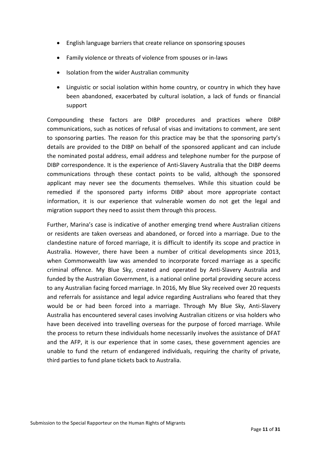- English language barriers that create reliance on sponsoring spouses
- Family violence or threats of violence from spouses or in-laws
- Isolation from the wider Australian community
- Linguistic or social isolation within home country, or country in which they have been abandoned, exacerbated by cultural isolation, a lack of funds or financial support

Compounding these factors are DIBP procedures and practices where DIBP communications, such as notices of refusal of visas and invitations to comment, are sent to sponsoring parties. The reason for this practice may be that the sponsoring party's details are provided to the DIBP on behalf of the sponsored applicant and can include the nominated postal address, email address and telephone number for the purpose of DIBP correspondence. It is the experience of Anti-Slavery Australia that the DIBP deems communications through these contact points to be valid, although the sponsored applicant may never see the documents themselves. While this situation could be remedied if the sponsored party informs DIBP about more appropriate contact information, it is our experience that vulnerable women do not get the legal and migration support they need to assist them through this process.

Further, Marina's case is indicative of another emerging trend where Australian citizens or residents are taken overseas and abandoned, or forced into a marriage. Due to the clandestine nature of forced marriage, it is difficult to identify its scope and practice in Australia. However, there have been a number of critical developments since 2013, when Commonwealth law was amended to incorporate forced marriage as a specific criminal offence. My Blue Sky, created and operated by Anti-Slavery Australia and funded by the Australian Government, is a national online portal providing secure access to any Australian facing forced marriage. In 2016, My Blue Sky received over 20 requests and referrals for assistance and legal advice regarding Australians who feared that they would be or had been forced into a marriage. Through My Blue Sky, Anti-Slavery Australia has encountered several cases involving Australian citizens or visa holders who have been deceived into travelling overseas for the purpose of forced marriage. While the process to return these individuals home necessarily involves the assistance of DFAT and the AFP, it is our experience that in some cases, these government agencies are unable to fund the return of endangered individuals, requiring the charity of private, third parties to fund plane tickets back to Australia.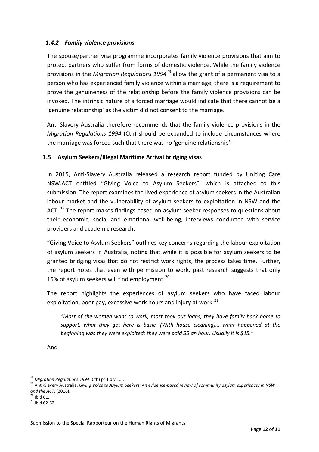# *1.4.2 Family violence provisions*

The spouse/partner visa programme incorporates family violence provisions that aim to protect partners who suffer from forms of domestic violence. While the family violence provisions in the *Migration Regulations 1994[18](#page-12-1)* allow the grant of a permanent visa to a person who has experienced family violence within a marriage, there is a requirement to prove the genuineness of the relationship before the family violence provisions can be invoked. The intrinsic nature of a forced marriage would indicate that there cannot be a 'genuine relationship' as the victim did not consent to the marriage.

Anti-Slavery Australia therefore recommends that the family violence provisions in the *Migration Regulations 1994* (Cth) should be expanded to include circumstances where the marriage was forced such that there was no 'genuine relationship'.

### <span id="page-12-0"></span>**1.5 Asylum Seekers/Illegal Maritime Arrival bridging visas**

In 2015, Anti-Slavery Australia released a research report funded by Uniting Care NSW.ACT entitled "Giving Voice to Asylum Seekers", which is attached to this submission. The report examines the lived experience of asylum seekers in the Australian labour market and the vulnerability of asylum seekers to exploitation in NSW and the ACT. <sup>[19](#page-12-2)</sup> The report makes findings based on asylum seeker responses to questions about their economic, social and emotional well-being, interviews conducted with service providers and academic research.

"Giving Voice to Asylum Seekers" outlines key concerns regarding the labour exploitation of asylum seekers in Australia, noting that while it is possible for asylum seekers to be granted bridging visas that do not restrict work rights, the process takes time. Further, the report notes that even with permission to work, past research suggests that only 15% of asylum seekers will find employment.<sup>[20](#page-12-3)</sup>

The report highlights the experiences of asylum seekers who have faced labour exploitation, poor pay, excessive work hours and injury at work;<sup>[21](#page-12-4)</sup>

*"Most of the women want to work, most took out loans, they have family back home to support, what they get here is basic. (With house cleaning)… what happened at the beginning was they were exploited; they were paid \$5 an hour. Usually it is \$15."*

And

<sup>&</sup>lt;sup>18</sup> Migration Regulations 1994 (Cth) pt 1 div 1.5.

<span id="page-12-2"></span><span id="page-12-1"></span><sup>&</sup>lt;sup>19</sup> Anti-Slavery Australia, Giving Voice to Asylum Seekers: An evidence-based review of community asylum experiences in NSW *and the ACT*, (2016).<br><sup>20</sup> Ibid 61.<br><sup>21</sup> Ibid 62-62.

<span id="page-12-3"></span>

<span id="page-12-4"></span>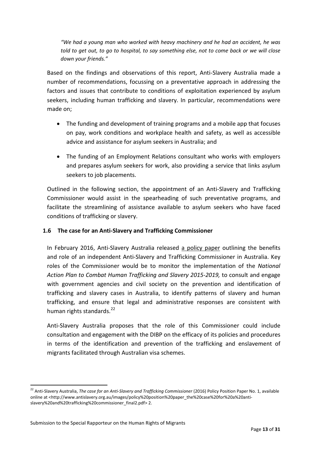*"We had a young man who worked with heavy machinery and he had an accident, he was* told to get out, to go to hospital, to say something else, not to come back or we will close *down your friends."*

Based on the findings and observations of this report, Anti-Slavery Australia made a number of recommendations, focussing on a preventative approach in addressing the factors and issues that contribute to conditions of exploitation experienced by asylum seekers, including human trafficking and slavery. In particular, recommendations were made on;

- The funding and development of training programs and a mobile app that focuses on pay, work conditions and workplace health and safety, as well as accessible advice and assistance for asylum seekers in Australia; and
- The funding of an Employment Relations consultant who works with employers and prepares asylum seekers for work, also providing a service that links asylum seekers to job placements.

Outlined in the following section, the appointment of an Anti-Slavery and Trafficking Commissioner would assist in the spearheading of such preventative programs, and facilitate the streamlining of assistance available to asylum seekers who have faced conditions of trafficking or slavery.

# <span id="page-13-0"></span>**1.6 The case for an Anti-Slavery and Trafficking Commissioner**

In February 2016, Anti-Slavery Australia released a [policy](http://www.antislavery.org.au/images/policy%20position%20paper_the%20case%20for%20a%20anti-slavery%20and%20trafficking%20commissioner_final2.pdf) paper outlining the benefits and role of an independent Anti-Slavery and Trafficking Commissioner in Australia. Key roles of the Commissioner would be to monitor the implementation of the *National Action Plan to Combat Human Trafficking and Slavery 2015-2019,* to consult and engage with government agencies and civil society on the prevention and identification of trafficking and slavery cases in Australia, to identify patterns of slavery and human trafficking, and ensure that legal and administrative responses are consistent with human rights standards.<sup>[22](#page-13-1)</sup>

Anti-Slavery Australia proposes that the role of this Commissioner could include consultation and engagement with the DIBP on the efficacy of its policies and procedures in terms of the identification and prevention of the trafficking and enslavement of migrants facilitated through Australian visa schemes.

 $\overline{a}$ 

<span id="page-13-1"></span><sup>22</sup> Anti-Slavery Australia, *The case for an Anti-Slavery and Trafficking Commissioner* (2016) Policy Position Paper No. 1, available online at <http://www.antislavery.org.au/images/policy%20position%20paper\_the%20case%20for%20a%20antislavery%20and%20trafficking%20commissioner\_final2.pdf> 2.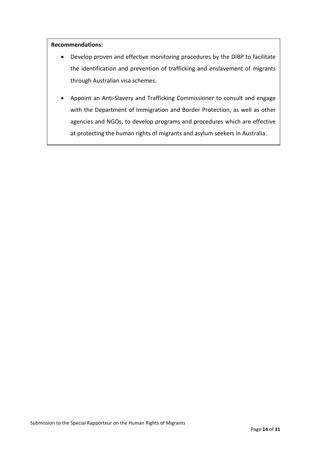#### **Recommendations:**

- Develop proven and effective monitoring procedures by the DIBP to facilitate the identification and prevention of trafficking and enslavement of migrants through Australian visa schemes.
- Appoint an Anti-Slavery and Trafficking Commissioner to consult and engage with the Department of Immigration and Border Protection, as well as other agencies and NGOs, to develop programs and procedures which are effective at protecting the human rights of migrants and asylum seekers in Australia.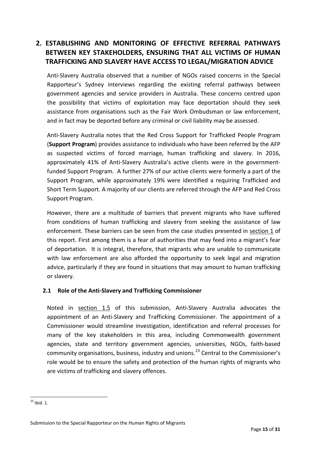# <span id="page-15-0"></span>**2. ESTABLISHING AND MONITORING OF EFFECTIVE REFERRAL PATHWAYS BETWEEN KEY STAKEHOLDERS, ENSURING THAT ALL VICTIMS OF HUMAN TRAFFICKING AND SLAVERY HAVE ACCESS TO LEGAL/MIGRATION ADVICE**

Anti-Slavery Australia observed that a number of NGOs raised concerns in the Special Rapporteur's Sydney interviews regarding the existing referral pathways between government agencies and service providers in Australia. These concerns centred upon the possibility that victims of exploitation may face deportation should they seek assistance from organisations such as the Fair Work Ombudsman or law enforcement, and in fact may be deported before any criminal or civil liability may be assessed.

Anti-Slavery Australia notes that the Red Cross Support for Trafficked People Program (**Support Program**) provides assistance to individuals who have been referred by the AFP as suspected victims of forced marriage, human trafficking and slavery. In 2016, approximately 41% of Anti-Slavery Australia's active clients were in the governmentfunded Support Program. A further 27% of our active clients were formerly a part of the Support Program, while approximately 19% were identified a requiring Trafficked and Short Term Support. A majority of our clients are referred through the AFP and Red Cross Support Program.

However, there are a multitude of barriers that prevent migrants who have suffered from conditions of human trafficking and slavery from seeking the assistance of law enforcement. These barriers can be seen from the case studies presented in [section](#page-4-0) 1 of this report. First among them is a fear of authorities that may feed into a migrant's fear of deportation. It is integral, therefore, that migrants who are unable to communicate with law enforcement are also afforded the opportunity to seek legal and migration advice, particularly if they are found in situations that may amount to human trafficking or slavery.

# <span id="page-15-1"></span>**2.1 Role of the Anti-Slavery and Trafficking Commissioner**

Noted in [section](#page-13-0) 1.5 of this submission, Anti-Slavery Australia advocates the appointment of an Anti-Slavery and Trafficking Commissioner. The appointment of a Commissioner would streamline investigation, identification and referral processes for many of the key stakeholders in this area, including Commonwealth government agencies, state and territory government agencies, universities, NGOs, faith-based community organisations, business, industry and unions.<sup>[23](#page-15-2)</sup> Central to the Commissioner's role would be to ensure the safety and protection of the human rights of migrants who are victims of trafficking and slavery offences.

<span id="page-15-2"></span> $^{23}$  Ibid. 1.  $\overline{a}$ 

Submission to the Special Rapporteur on the Human Rights of Migrants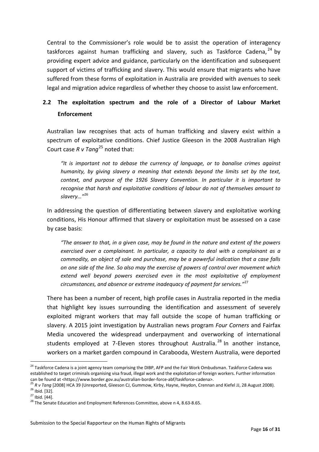Central to the Commissioner's role would be to assist the operation of interagency taskforces against human trafficking and slavery, such as Taskforce Cadena,  $24$  by providing expert advice and guidance, particularly on the identification and subsequent support of victims of trafficking and slavery. This would ensure that migrants who have suffered from these forms of exploitation in Australia are provided with avenues to seek legal and migration advice regardless of whether they choose to assist law enforcement.

# <span id="page-16-0"></span>**2.2 The exploitation spectrum and the role of a Director of Labour Market Enforcement**

Australian law recognises that acts of human trafficking and slavery exist within a spectrum of exploitative conditions. Chief Justice Gleeson in the 2008 Australian High Court case *R v Tang*[25](#page-16-2) noted that:

*"It is important not to debase the currency of language, or to banalise crimes against humanity, by giving slavery a meaning that extends beyond the limits set by the text, context, and purpose of the 1926 Slavery Convention. In particular it is important to recognise that harsh and exploitative conditions of labour do not of themselves amount to slavery…"*[26](#page-16-3)

In addressing the question of differentiating between slavery and exploitative working conditions, His Honour affirmed that slavery or exploitation must be assessed on a case by case basis:

*"The answer to that, in a given case, may be found in the nature and extent of the powers exercised over a complainant. In particular, a capacity to deal with a complainant as a commodity, an object of sale and purchase, may be a powerful indication that a case falls on one side of the line. So also may the exercise of powers of control over movement which extend well beyond powers exercised even in the most exploitative of employment circumstances, and absence or extreme inadequacy of payment for services."*[27](#page-16-4)

There has been a number of recent, high profile cases in Australia reported in the media that highlight key issues surrounding the identification and assessment of severely exploited migrant workers that may fall outside the scope of human trafficking or slavery. A 2015 joint investigation by Australian news program *Four Corners* and Fairfax Media uncovered the widespread underpayment and overworking of international students employed at 7-Eleven stores throughout Australia.<sup>[28](#page-16-5)</sup> In another instance, workers on a market garden compound in Carabooda, Western Australia, were deported

<span id="page-16-1"></span><sup>&</sup>lt;sup>24</sup> Taskforce Cadena is a joint agency team comprising the DIBP, AFP and the Fair Work Ombudsman. Taskforce Cadena was established to target criminals organising visa fraud, illegal work and the exploitation of foreign workers. Further information  $\overline{a}$ 

<span id="page-16-2"></span>can be found at <https://www.border.gov.au/australian-border-force-abf/taskforce-cadena>.<br><sup>25</sup> R v Tang [2008] HCA 39 (Unreported, Gleeson CJ, Gummow, Kirby, Hayne, Heydon, Crennan and Kiefel JJ, 28 August 2008).<br><sup>26</sup> Ibi

<span id="page-16-5"></span><span id="page-16-4"></span><span id="page-16-3"></span>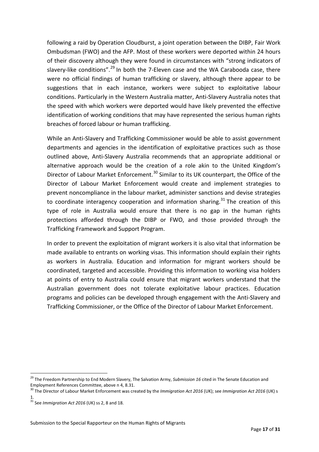following a raid by Operation Cloudburst, a joint operation between the DIBP, Fair Work Ombudsman (FWO) and the AFP. Most of these workers were deported within 24 hours of their discovery although they were found in circumstances with "strong indicators of slavery-like conditions".<sup>[29](#page-17-0)</sup> In both the 7-Eleven case and the WA Carabooda case, there were no official findings of human trafficking or slavery, although there appear to be suggestions that in each instance, workers were subject to exploitative labour conditions. Particularly in the Western Australia matter, Anti-Slavery Australia notes that the speed with which workers were deported would have likely prevented the effective identification of working conditions that may have represented the serious human rights breaches of forced labour or human trafficking.

While an Anti-Slavery and Trafficking Commissioner would be able to assist government departments and agencies in the identification of exploitative practices such as those outlined above, Anti-Slavery Australia recommends that an appropriate additional or alternative approach would be the creation of a role akin to the United Kingdom's Director of Labour Market Enforcement.<sup>[30](#page-17-1)</sup> Similar to its UK counterpart, the Office of the Director of Labour Market Enforcement would create and implement strategies to prevent noncompliance in the labour market, administer sanctions and devise strategies to coordinate interagency cooperation and information sharing.<sup>[31](#page-17-2)</sup> The creation of this type of role in Australia would ensure that there is no gap in the human rights protections afforded through the DIBP or FWO, and those provided through the Trafficking Framework and Support Program.

In order to prevent the exploitation of migrant workers it is also vital that information be made available to entrants on working visas. This information should explain their rights as workers in Australia. Education and information for migrant workers should be coordinated, targeted and accessible. Providing this information to working visa holders at points of entry to Australia could ensure that migrant workers understand that the Australian government does not tolerate exploitative labour practices. Education programs and policies can be developed through engagement with the Anti-Slavery and Trafficking Commissioner, or the Office of the Director of Labour Market Enforcement.

 $\overline{a}$ 

<span id="page-17-0"></span><sup>29</sup> The Freedom Partnership to End Modern Slavery, The Salvation Army, *Submission 16* cited in The Senate Education and

<span id="page-17-1"></span>Employment References Committee, above n 4, 8.31.<br><sup>30</sup> The Director of Labour Market Enforcement was created by the *Immigration Act 2016* (UK); see *Immigration Act 2016* (UK) s 1.

<span id="page-17-2"></span><sup>31</sup> See *Immigration Act 2016* (UK) ss 2, 8 and 18.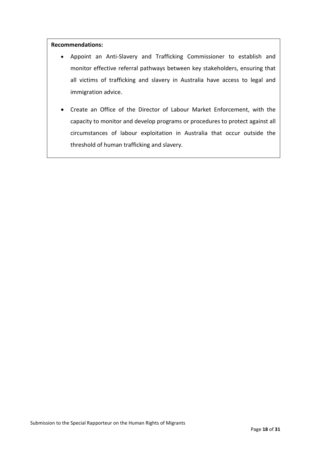#### **Recommendations:**

- Appoint an Anti-Slavery and Trafficking Commissioner to establish and monitor effective referral pathways between key stakeholders, ensuring that all victims of trafficking and slavery in Australia have access to legal and immigration advice.
- Create an Office of the Director of Labour Market Enforcement, with the capacity to monitor and develop programs or procedures to protect against all circumstances of labour exploitation in Australia that occur outside the threshold of human trafficking and slavery.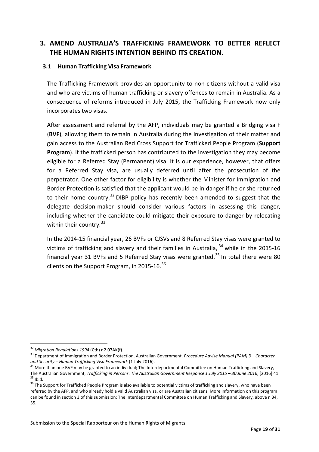# <span id="page-19-0"></span>**3. AMEND AUSTRALIA'S TRAFFICKING FRAMEWORK TO BETTER REFLECT THE HUMAN RIGHTS INTENTION BEHIND ITS CREATION.**

### <span id="page-19-1"></span>**3.1 Human Trafficking Visa Framework**

The Trafficking Framework provides an opportunity to non-citizens without a valid visa and who are victims of human trafficking or slavery offences to remain in Australia. As a consequence of reforms introduced in July 2015, the Trafficking Framework now only incorporates two visas.

After assessment and referral by the AFP, individuals may be granted a Bridging visa F (**BVF**), allowing them to remain in Australia during the investigation of their matter and gain access to the Australian Red Cross Support for Trafficked People Program (**Support Program**). If the trafficked person has contributed to the investigation they may become eligible for a Referred Stay (Permanent) visa. It is our experience, however, that offers for a Referred Stay visa, are usually deferred until after the prosecution of the perpetrator. One other factor for eligibility is whether the Minister for Immigration and Border Protection is satisfied that the applicant would be in danger if he or she returned to their home country.<sup>[32](#page-19-2)</sup> DIBP policy has recently been amended to suggest that the delegate decision-maker should consider various factors in assessing this danger, including whether the candidate could mitigate their exposure to danger by relocating within their country.<sup>[33](#page-19-3)</sup>

In the 2014-15 financial year, 26 BVFs or CJSVs and 8 Referred Stay visas were granted to victims of trafficking and slavery and their families in Australia,  $34$  while in the 2015-16 financial year 31 BVFs and 5 Referred Stay visas were granted.<sup>[35](#page-19-5)</sup> In total there were 80 clients on the Support Program, in 2015-16.<sup>[36](#page-19-6)</sup>

<span id="page-19-2"></span><sup>&</sup>lt;sup>32</sup> Miaration Reaulations 1994 (Cth) r 2.07AK(f).

<span id="page-19-3"></span> $33$  Department of Immigration and Border Protection, Australian Government, Procedure Advise Manual (PAM) 3 – Character and Security – Human Trafficking Visa Framework (1 July 2016).

<span id="page-19-4"></span><sup>&</sup>lt;sup>34</sup> More than one BVF may be granted to an individual; The Interdepartmental Committee on Human Trafficking and Slavery, The Australian Government, *Trafficking in Persons: The Australian Government Response 1 July 2015 – 30 June 2016*, [2016] 41.<br><sup>35</sup> Ibid.<br><sup>36</sup> The Support for Trafficked People Program is also available to potential victi

<span id="page-19-6"></span><span id="page-19-5"></span>referred by the AFP, and who already hold a valid Australian visa, or are Australian citizens. More information on this program can be found in section 3 of this submission; The Interdepartmental Committee on Human Trafficking and Slavery, above n 34, 35.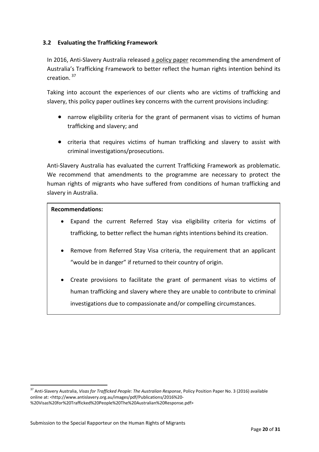# <span id="page-20-0"></span>**3.2 Evaluating the Trafficking Framework**

In 2016, Anti-Slavery Australia released a [policy](http://www.antislavery.org.au/images/pdf/Publications/2016%20-%20Visas%20for%20Trafficked%20People%20The%20Australian%20Response.pdf) paper recommending the amendment of Australia's Trafficking Framework to better reflect the human rights intention behind its creation. [37](#page-20-1)

Taking into account the experiences of our clients who are victims of trafficking and slavery, this policy paper outlines key concerns with the current provisions including:

- narrow eligibility criteria for the grant of permanent visas to victims of human trafficking and slavery; and
- criteria that requires victims of human trafficking and slavery to assist with criminal investigations/prosecutions.

Anti-Slavery Australia has evaluated the current Trafficking Framework as problematic. We recommend that amendments to the programme are necessary to protect the human rights of migrants who have suffered from conditions of human trafficking and slavery in Australia.

### **Recommendations:**

 $\overline{a}$ 

- Expand the current Referred Stay visa eligibility criteria for victims of trafficking, to better reflect the human rights intentions behind its creation.
- Remove from Referred Stay Visa criteria, the requirement that an applicant "would be in danger" if returned to their country of origin.
- Create provisions to facilitate the grant of permanent visas to victims of human trafficking and slavery where they are unable to contribute to criminal investigations due to compassionate and/or compelling circumstances.

<span id="page-20-1"></span><sup>37</sup> Anti-Slavery Australia, *Visas for Trafficked People: The Australian Response*, Policy Position Paper No. 3 (2016) available online at: <http://www.antislavery.org.au/images/pdf/Publications/2016%20- %20Visas%20for%20Trafficked%20People%20The%20Australian%20Response.pdf>

Submission to the Special Rapporteur on the Human Rights of Migrants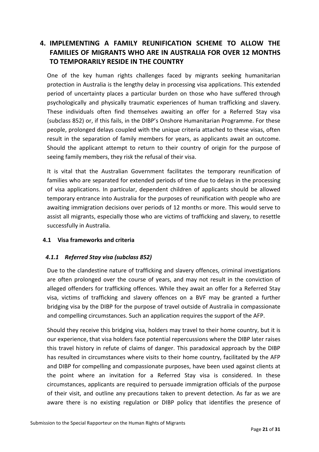# <span id="page-21-0"></span>**4. IMPLEMENTING A FAMILY REUNIFICATION SCHEME TO ALLOW THE FAMILIES OF MIGRANTS WHO ARE IN AUSTRALIA FOR OVER 12 MONTHS TO TEMPORARILY RESIDE IN THE COUNTRY**

One of the key human rights challenges faced by migrants seeking humanitarian protection in Australia is the lengthy delay in processing visa applications. This extended period of uncertainty places a particular burden on those who have suffered through psychologically and physically traumatic experiences of human trafficking and slavery. These individuals often find themselves awaiting an offer for a Referred Stay visa (subclass 852) or, if this fails, in the DIBP's Onshore Humanitarian Programme. For these people, prolonged delays coupled with the unique criteria attached to these visas, often result in the separation of family members for years, as applicants await an outcome. Should the applicant attempt to return to their country of origin for the purpose of seeing family members, they risk the refusal of their visa.

It is vital that the Australian Government facilitates the temporary reunification of families who are separated for extended periods of time due to delays in the processing of visa applications. In particular, dependent children of applicants should be allowed temporary entrance into Australia for the purposes of reunification with people who are awaiting immigration decisions over periods of 12 months or more. This would serve to assist all migrants, especially those who are victims of trafficking and slavery, to resettle successfully in Australia.

# <span id="page-21-1"></span>**4.1 Visa frameworks and criteria**

# *4.1.1 Referred Stay visa (subclass 852)*

Due to the clandestine nature of trafficking and slavery offences, criminal investigations are often prolonged over the course of years, and may not result in the conviction of alleged offenders for trafficking offences. While they await an offer for a Referred Stay visa, victims of trafficking and slavery offences on a BVF may be granted a further bridging visa by the DIBP for the purpose of travel outside of Australia in compassionate and compelling circumstances. Such an application requires the support of the AFP.

Should they receive this bridging visa, holders may travel to their home country, but it is our experience, that visa holders face potential repercussions where the DIBP later raises this travel history in refute of claims of danger. This paradoxical approach by the DIBP has resulted in circumstances where visits to their home country, facilitated by the AFP and DIBP for compelling and compassionate purposes, have been used against clients at the point where an invitation for a Referred Stay visa is considered. In these circumstances, applicants are required to persuade immigration officials of the purpose of their visit, and outline any precautions taken to prevent detection. As far as we are aware there is no existing regulation or DIBP policy that identifies the presence of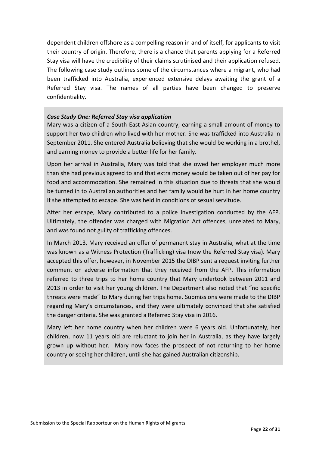dependent children offshore as a compelling reason in and of itself, for applicants to visit their country of origin. Therefore, there is a chance that parents applying for a Referred Stay visa will have the credibility of their claims scrutinised and their application refused. The following case study outlines some of the circumstances where a migrant, who had been trafficked into Australia, experienced extensive delays awaiting the grant of a Referred Stay visa. The names of all parties have been changed to preserve confidentiality.

### *Case Study One: Referred Stay visa application*

Mary was a citizen of a South East Asian country, earning a small amount of money to support her two children who lived with her mother. She was trafficked into Australia in September 2011. She entered Australia believing that she would be working in a brothel, and earning money to provide a better life for her family.

Upon her arrival in Australia, Mary was told that she owed her employer much more than she had previous agreed to and that extra money would be taken out of her pay for food and accommodation. She remained in this situation due to threats that she would be turned in to Australian authorities and her family would be hurt in her home country if she attempted to escape. She was held in conditions of sexual servitude.

After her escape, Mary contributed to a police investigation conducted by the AFP. Ultimately, the offender was charged with Migration Act offences, unrelated to Mary, and was found not guilty of trafficking offences.

In March 2013, Mary received an offer of permanent stay in Australia, what at the time was known as a Witness Protection (Trafficking) visa (now the Referred Stay visa). Mary accepted this offer, however, in November 2015 the DIBP sent a request inviting further comment on adverse information that they received from the AFP. This information referred to three trips to her home country that Mary undertook between 2011 and 2013 in order to visit her young children. The Department also noted that "no specific threats were made" to Mary during her trips home. Submissions were made to the DIBP regarding Mary's circumstances, and they were ultimately convinced that she satisfied the danger criteria. She was granted a Referred Stay visa in 2016.

Mary left her home country when her children were 6 years old. Unfortunately, her children, now 11 years old are reluctant to join her in Australia, as they have largely grown up without her. Mary now faces the prospect of not returning to her home country or seeing her children, until she has gained Australian citizenship.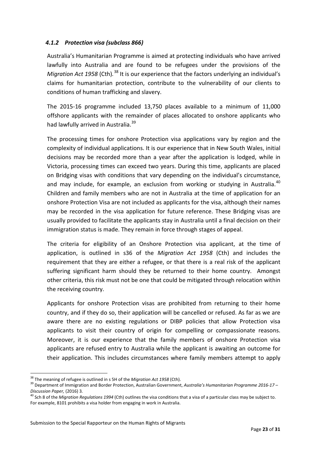# *4.1.2 Protection visa (subclass 866)*

Australia's Humanitarian Programme is aimed at protecting individuals who have arrived lawfully into Australia and are found to be refugees under the provisions of the *Migration Act 1958* (Cth).<sup>[38](#page-23-0)</sup> It is our experience that the factors underlying an individual's claims for humanitarian protection, contribute to the vulnerability of our clients to conditions of human trafficking and slavery.

The 2015-16 programme included 13,750 places available to a minimum of 11,000 offshore applicants with the remainder of places allocated to onshore applicants who had lawfully arrived in Australia.<sup>[39](#page-23-1)</sup>

The processing times for onshore Protection visa applications vary by region and the complexity of individual applications. It is our experience that in New South Wales, initial decisions may be recorded more than a year after the application is lodged, while in Victoria, processing times can exceed two years. During this time, applicants are placed on Bridging visas with conditions that vary depending on the individual's circumstance, and may include, for example, an exclusion from working or studying in Australia.<sup>[40](#page-23-2)</sup> Children and family members who are not in Australia at the time of application for an onshore Protection Visa are not included as applicants for the visa, although their names may be recorded in the visa application for future reference. These Bridging visas are usually provided to facilitate the applicants stay in Australia until a final decision on their immigration status is made. They remain in force through stages of appeal.

The criteria for eligibility of an Onshore Protection visa applicant, at the time of application, is outlined in s36 of the *Migration Act 1958* (Cth) and includes the requirement that they are either a refugee, or that there is a real risk of the applicant suffering significant harm should they be returned to their home country. Amongst other criteria, this risk must not be one that could be mitigated through relocation within the receiving country.

Applicants for onshore Protection visas are prohibited from returning to their home country, and if they do so, their application will be cancelled or refused. As far as we are aware there are no existing regulations or DIBP policies that allow Protection visa applicants to visit their country of origin for compelling or compassionate reasons. Moreover, it is our experience that the family members of onshore Protection visa applicants are refused entry to Australia while the applicant is awaiting an outcome for their application. This includes circumstances where family members attempt to apply

<span id="page-23-0"></span><sup>&</sup>lt;sup>38</sup> The meaning of refugee is outlined in s 5H of the Migration Act 1958 (Cth).

<span id="page-23-1"></span><sup>&</sup>lt;sup>39</sup> Department of Immigration and Border Protection, Australian Government, Australia's Humanitarian Programme 2016-17-

<span id="page-23-2"></span>*Discussion Paper,* (2016) 3. <sup>40</sup> Sch <sup>8</sup> of the *Migration Regulations <sup>1994</sup>* (Cth) outlines the visa conditions that <sup>a</sup> visa of <sup>a</sup> particular class may be subject to. For example, 8101 prohibits a visa holder from engaging in work in Australia.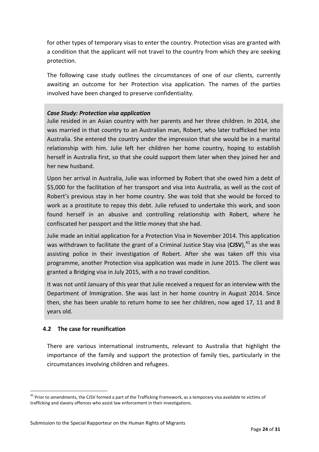for other types of temporary visas to enter the country. Protection visas are granted with a condition that the applicant will not travel to the country from which they are seeking protection.

The following case study outlines the circumstances of one of our clients, currently awaiting an outcome for her Protection visa application. The names of the parties involved have been changed to preserve confidentiality.

### *Case Study: Protection visa application*

Julie resided in an Asian country with her parents and her three children. In 2014, she was married in that country to an Australian man, Robert, who later trafficked her into Australia. She entered the country under the impression that she would be in a marital relationship with him. Julie left her children her home country, hoping to establish herself in Australia first, so that she could support them later when they joined her and her new husband.

Upon her arrival in Australia, Julie was informed by Robert that she owed him a debt of \$5,000 for the facilitation of her transport and visa into Australia, as well as the cost of Robert's previous stay in her home country. She was told that she would be forced to work as a prostitute to repay this debt. Julie refused to undertake this work, and soon found herself in an abusive and controlling relationship with Robert, where he confiscated her passport and the little money that she had.

Julie made an initial application for a Protection Visa in November 2014. This application was withdrawn to facilitate the grant of a Criminal Justice Stay visa (**CJSV**), [41](#page-24-1) as she was assisting police in their investigation of Robert. After she was taken off this visa programme, another Protection visa application was made in June 2015. The client was granted a Bridging visa in July 2015, with a no travel condition.

It was not until January of this year that Julie received a request for an interview with the Department of Immigration. She was last in her home country in August 2014. Since then, she has been unable to return home to see her children, now aged 17, 11 and 8 years old.

# <span id="page-24-0"></span>**4.2 The case for reunification**

 $\overline{a}$ 

There are various international instruments, relevant to Australia that highlight the importance of the family and support the protection of family ties, particularly in the circumstances involving children and refugees.

<span id="page-24-1"></span> $41$  Prior to amendments, the CJSV formed a part of the Trafficking Framework, as a temporary visa available to victims of trafficking and slavery offences who assist law enforcement in their investigations.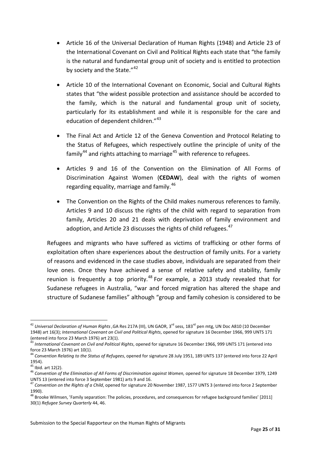- Article 16 of the Universal Declaration of Human Rights (1948) and Article 23 of the International Covenant on Civil and Political Rights each state that "the family is the natural and fundamental group unit of society and is entitled to protection by society and the State."<sup>[42](#page-25-0)</sup>
- Article 10 of the International Covenant on Economic, Social and Cultural Rights states that "the widest possible protection and assistance should be accorded to the family, which is the natural and fundamental group unit of society, particularly for its establishment and while it is responsible for the care and education of dependent children."<sup>[43](#page-25-1)</sup>
- The Final Act and Article 12 of the Geneva Convention and Protocol Relating to the Status of Refugees, which respectively outline the principle of unity of the family<sup>[44](#page-25-2)</sup> and rights attaching to marriage<sup>[45](#page-25-3)</sup> with reference to refugees.
- Articles 9 and 16 of the Convention on the Elimination of All Forms of Discrimination Against Women (**CEDAW**), deal with the rights of women regarding equality, marriage and family.<sup>[46](#page-25-4)</sup>
- The Convention on the Rights of the Child makes numerous references to family. Articles 9 and 10 discuss the rights of the child with regard to separation from family, Articles 20 and 21 deals with deprivation of family environment and adoption, and Article 23 discusses the rights of child refugees. $47$

Refugees and migrants who have suffered as victims of trafficking or other forms of exploitation often share experiences about the destruction of family units. For a variety of reasons and evidenced in the case studies above, individuals are separated from their love ones. Once they have achieved a sense of relative safety and stability, family reunion is frequently a top priority.<sup>[48](#page-25-6)</sup> For example, a 2013 study revealed that for Sudanese refugees in Australia, "war and forced migration has altered the shape and structure of Sudanese families" although "group and family cohesion is considered to be

<span id="page-25-0"></span><sup>&</sup>lt;sup>42</sup> Universal Declaration of Human Rights ,GA Res 217A (III), UN GAOR, 3<sup>rd</sup> sess, 183<sup>rd</sup> pen mtg, UN Doc A810 (10 December 1948) art 16(3); *International Covenant on Civil and Political Rights*, opened for signature 16 December 1966, 999 UNTS 171  $\overline{a}$ 

<span id="page-25-1"></span><sup>&</sup>lt;sup>43</sup> International Covenant on Civil and Political Rights, opened for signature 16 December 1966, 999 UNTS 171 (entered into force 23 March 1976) art 10(1).<br><sup>44</sup> Convention Relating to the Status of Refugees, opened for signature 28 July 1951, 189 UNTS 137 (entered into force 22 April

<span id="page-25-2"></span><sup>1954).&</sup>lt;br><sup>45</sup> Ibid. art 12(2).<br><sup>46</sup> Convention of the Elimination of All Forms of Discrimination against Women, opened for signature 18 December 1979, 1249

<span id="page-25-3"></span>

<span id="page-25-4"></span>UNTS 13 (entered into force 3 September 1981) arts 9 and 16.<br><sup>47</sup> Convention on the Rights of a Child, opened for signature 20 November 1987, 1577 UNTS 3 (entered into force 2 September

<span id="page-25-5"></span><sup>1990).</sup>

<span id="page-25-6"></span><sup>&</sup>lt;sup>48</sup> Brooke Wilmsen, 'Family separation: The policies, procedures, and consequences for refugee background families' [2011] 30(1) *Refugee Survey Quarterly* 44, 46.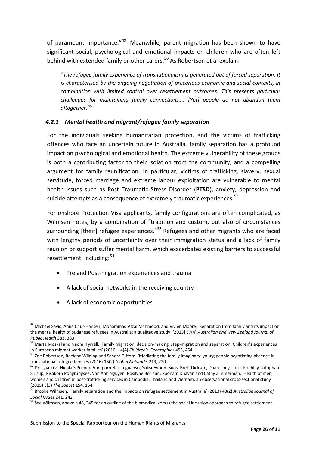of paramount importance."<sup>[49](#page-26-0)</sup> Meanwhile, parent migration has been shown to have significant social, psychological and emotional impacts on children who are often left behind with extended family or other carers.<sup>[50](#page-26-1)</sup> As Robertson et al explain:

*"The refugee family experience of transnationalism is generated out of forced separation. It is characterised by the ongoing negotiation of precarious economic and social contexts, in combination with limited control over resettlement outcomes. This presents particular challenges for maintaining family connections.... [Yet] people do not abandon them altogether."*[51](#page-26-2)

# *4.2.1 Mental health and migrant/refugee family separation*

For the individuals seeking humanitarian protection, and the victims of trafficking offences who face an uncertain future in Australia, family separation has a profound impact on psychological and emotional health. The extreme vulnerability of these groups is both a contributing factor to their isolation from the community, and a compelling argument for family reunification. In particular, victims of trafficking, slavery, sexual servitude, forced marriage and extreme labour exploitation are vulnerable to mental health issues such as Post Traumatic Stress Disorder (**PTSD**), anxiety, depression and suicide attempts as a consequence of extremely traumatic experiences.<sup>[52](#page-26-3)</sup>

For onshore Protection Visa applicants, family configurations are often complicated, as Wilmsen notes, by a combination of "tradition and custom, but also of circumstances surrounding [their] refugee experiences."<sup>[53](#page-26-4)</sup> Refugees and other migrants who are faced with lengthy periods of uncertainty over their immigration status and a lack of family reunion or support suffer mental harm, which exacerbates existing barriers to successful resettlement, including: [54](#page-26-5)

- Pre and Post-migration experiences and trauma
- A lack of social networks in the receiving country
- A lack of economic opportunities

<span id="page-26-0"></span><sup>&</sup>lt;sup>49</sup> Michael Savic, Anna Chur-Hansen, Mohammad Afzal Mahmood, and Vivien Moore, 'Separation from family and its impact on the mental health of Sudanese refugees in Australia: a qualitative study' [2013] 37(4) *Australian and New Zealand Journal of*  $\overline{a}$ 

<span id="page-26-1"></span><sup>&</sup>lt;sup>50</sup> Marta Moskal and Naomi Tyrrell, 'Family migration, decision-making, step-migration and separation: Children's experiences<br>in European migrant worker families' (2016) 14(4) *Children's Geographies* 453, 454.

<span id="page-26-2"></span><sup>&</sup>lt;sup>51</sup> Zoe Robertson, Raelene Wilding and Sandra Gifford, 'Mediating the family imaginary: young people negotiating absence in<br>transnational refugee families (2016) 16(2) *Global Networks* 219, 220.

<span id="page-26-3"></span><sup>&</sup>lt;sup>52</sup> Dr Ligia Kiss, Nicola S Pocock, Varaporn Naisanguansri, Soksreymom Suos, Brett Dickson, Doan Thuy, Jobst Koehley, Kittiphan Sirisup, Nisakorn Pongrungsee, Van Anh Nguyen, Rosilyne Borland, Poonam Dhavan and Cathy Zimmerman, 'Health of men, women and children in post-trafficking services in Cambodia, Thailand and Vietnam: an observational cross-sectional study'

<span id="page-26-4"></span><sup>(2015) 3(3)</sup> *The Lancet* 154, 154.<br><sup>53</sup> Brooke Wilmsen, 'Family separation and the impacts on refugee settlement in Australia' (2013) 48(2) *Australian Journal of* 

<span id="page-26-5"></span>*Social Issues* 241, 242.<br><sup>54</sup> See Wilmsen, above n 48, 245 for an outline of the biomedical versus the social inclusion approach to refugee settlement.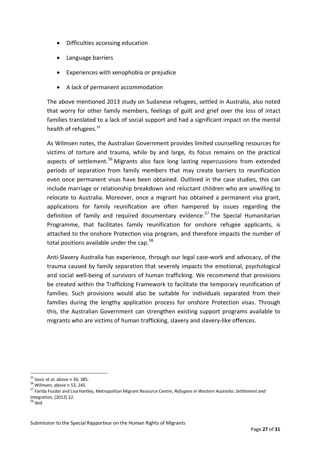- Difficulties accessing education
- Language barriers
- Experiences with xenophobia or prejudice
- A lack of permanent accommodation

The above mentioned 2013 study on Sudanese refugees, settled in Australia, also noted that worry for other family members, feelings of guilt and grief over the loss of intact families translated to a lack of social support and had a significant impact on the mental health of refugees.*[55](#page-27-0)*

As Wilmsen notes, the Australian Government provides limited counselling resources for victims of torture and trauma, while by and large, its focus remains on the practical aspects of settlement.<sup>[56](#page-27-1)</sup> Migrants also face long lasting repercussions from extended periods of separation from family members that may create barriers to reunification even once permanent visas have been obtained. Outlined in the case studies, this can include marriage or relationship breakdown and reluctant children who are unwilling to relocate to Australia. Moreover, once a migrant has obtained a permanent visa grant, applications for family reunification are often hampered by issues regarding the definition of family and required documentary evidence.<sup>[57](#page-27-2)</sup> The Special Humanitarian Programme, that facilitates family reunification for onshore refugee applicants, is attached to the onshore Protection visa program, and therefore impacts the number of total positions available under the cap.<sup>[58](#page-27-3)</sup>

Anti-Slavery Australia has experience, through our legal case-work and advocacy, of the trauma caused by family separation that severely impacts the emotional, psychological and social well-being of survivors of human trafficking. We recommend that provisions be created within the Trafficking Framework to facilitate the temporary reunification of families. Such provisions would also be suitable for individuals separated from their families during the lengthy application process for onshore Protection visas. Through this, the Australian Government can strengthen existing support programs available to migrants who are victims of human trafficking, slavery and slavery-like offences.

<span id="page-27-0"></span> $55$  Savic et al, above n 36, 385.

<span id="page-27-2"></span><span id="page-27-1"></span><sup>55</sup> Savic et al, above <sup>n</sup> 36, 385. <sup>56</sup> Wilmsen, above <sup>n</sup> 53, 245. <sup>57</sup> Farida Fozdar and Lisa Hartley, Metropolitan Migrant Resource Centre, *Refugees in Western Australia: Settlement and* Integration, [2013] 22. <sup>58</sup> Ibid.

<span id="page-27-3"></span>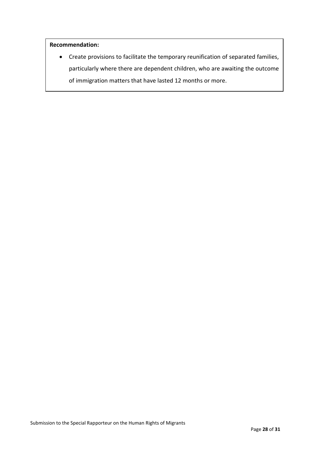### **Recommendation:**

• Create provisions to facilitate the temporary reunification of separated families, particularly where there are dependent children, who are awaiting the outcome of immigration matters that have lasted 12 months or more.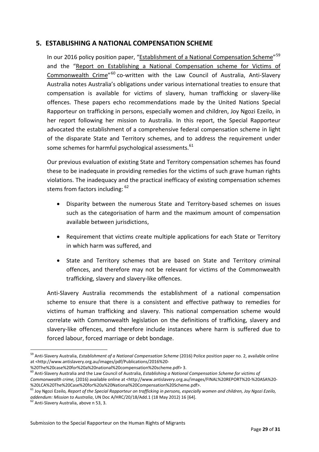# <span id="page-29-0"></span>**5. ESTABLISHING A NATIONAL COMPENSATION SCHEME**

In our 2016 policy position paper, "<u>Establishment of a National Compensation Scheme</u>"<sup>[59](#page-29-1)</sup> and the "Report on Establishing a National [Compensation](http://www.antislavery.org.au/images/FINAL%20REPORT%20-%20ASA%20-%20LCA%20The%20Case%20for%20a%20National%20Compensation%20Scheme.pdf) scheme for Victims of [Commonwealth](http://www.antislavery.org.au/images/FINAL%20REPORT%20-%20ASA%20-%20LCA%20The%20Case%20for%20a%20National%20Compensation%20Scheme.pdf) Crime"<sup>[60](#page-29-2)</sup> co-written with the Law Council of Australia, Anti-Slavery Australia notes Australia's obligations under various international treaties to ensure that compensation is available for victims of slavery, human trafficking or slavery-like offences. These papers echo recommendations made by the United Nations Special Rapporteur on trafficking in persons, especially women and children, Joy Ngozi Ezeilo, in her report following her mission to Australia. In this report, the Special Rapporteur advocated the establishment of a comprehensive federal compensation scheme in light of the disparate State and Territory schemes, and to address the requirement under some schemes for harmful psychological assessments.<sup>[61](#page-29-3)</sup>

Our previous evaluation of existing State and Territory compensation schemes has found these to be inadequate in providing remedies for the victims of such grave human rights violations. The inadequacy and the practical inefficacy of existing compensation schemes stems from factors including:  $62$ 

- Disparity between the numerous State and Territory-based schemes on issues such as the categorisation of harm and the maximum amount of compensation available between jurisdictions,
- Requirement that victims create multiple applications for each State or Territory in which harm was suffered, and
- State and Territory schemes that are based on State and Territory criminal offences, and therefore may not be relevant for victims of the Commonwealth trafficking, slavery and slavery-like offences.

Anti-Slavery Australia recommends the establishment of a national compensation scheme to ensure that there is a consistent and effective pathway to remedies for victims of human trafficking and slavery. This national compensation scheme would correlate with Commonwealth legislation on the definitions of trafficking, slavery and slavery-like offences, and therefore include instances where harm is suffered due to forced labour, forced marriage or debt bondage.

<span id="page-29-1"></span><sup>59</sup> Anti-Slavery Australia, *Establishment of a National Compensation Scheme* (2016) Police position paper no. 2, available online at <http://www.antislavery.org.au/images/pdf/Publications/2016%20-  $\overline{a}$ 

<span id="page-29-2"></span> $^{60}$  Anti-Slavery Australia and the Law Council of Australia, Establishing a National Compensation Scheme for victims of *Commonwealth crime,* (2016) available online at <http://www.antislavery.org.au/images/FINAL%20REPORT%20-%20ASA%20-

<span id="page-29-3"></span><sup>&</sup>lt;sup>61</sup> Joy Ngozi Ezeilo, Report of the Special Rapporteur on trafficking in persons, especially women and children, Joy Ngozi Ezeilo, *addendum: Mission to Australia, UN Doc A/HRC/20/18/Add.1 (18 May 2012) 16 [64].* 62 Anti-Slavery Australia, above n 53, 3.

<span id="page-29-4"></span>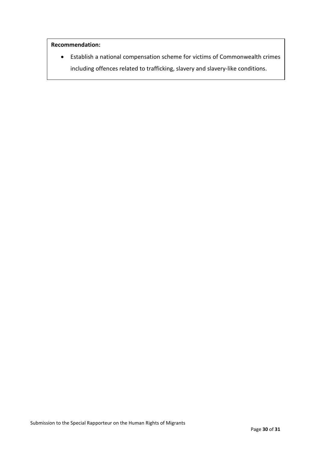### **Recommendation:**

• Establish a national compensation scheme for victims of Commonwealth crimes including offences related to trafficking, slavery and slavery-like conditions.